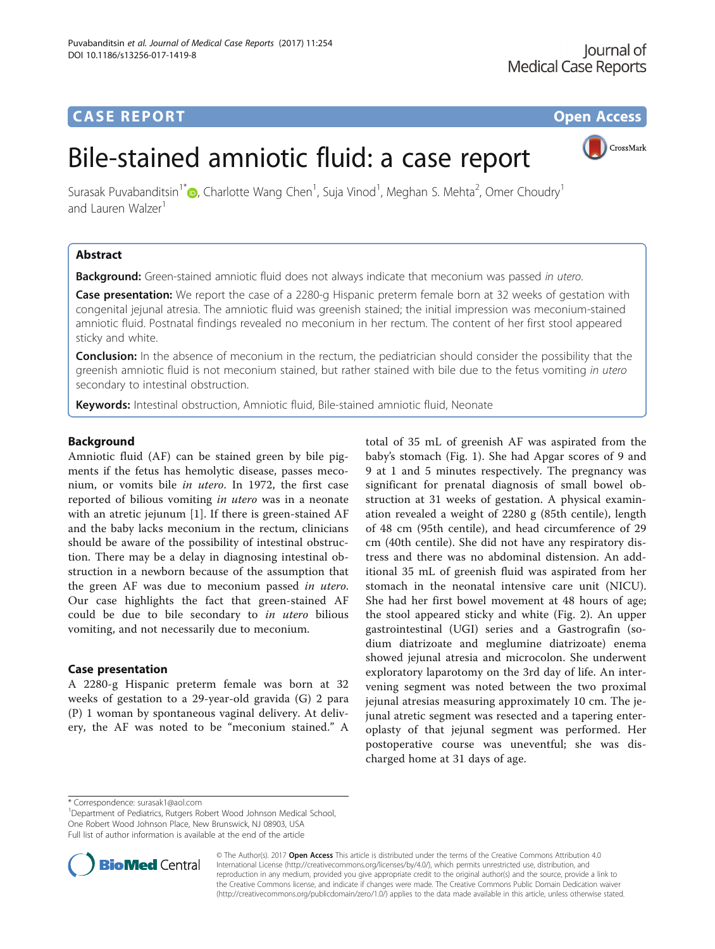# **CASE REPORT CASE REPORT CASE REPORT**



# Bile-stained amniotic fluid: a case report

Surasak Puvabanditsin<sup>1\*</sup> $\bullet$ [,](http://orcid.org/0000-0002-7467-5874) Charlotte Wang Chen<sup>1</sup>, Suja Vinod<sup>1</sup>, Meghan S. Mehta<sup>2</sup>, Omer Choudry<sup>1</sup> and Lauren Walzer<sup>1</sup>

# Abstract

**Background:** Green-stained amniotic fluid does not always indicate that meconium was passed in utero.

Case presentation: We report the case of a 2280-g Hispanic preterm female born at 32 weeks of gestation with congenital jejunal atresia. The amniotic fluid was greenish stained; the initial impression was meconium-stained amniotic fluid. Postnatal findings revealed no meconium in her rectum. The content of her first stool appeared sticky and white.

**Conclusion:** In the absence of meconium in the rectum, the pediatrician should consider the possibility that the greenish amniotic fluid is not meconium stained, but rather stained with bile due to the fetus vomiting in utero secondary to intestinal obstruction.

Keywords: Intestinal obstruction, Amniotic fluid, Bile-stained amniotic fluid, Neonate

# Background

Amniotic fluid (AF) can be stained green by bile pigments if the fetus has hemolytic disease, passes meconium, or vomits bile in utero. In 1972, the first case reported of bilious vomiting in utero was in a neonate with an atretic jejunum [\[1](#page-2-0)]. If there is green-stained AF and the baby lacks meconium in the rectum, clinicians should be aware of the possibility of intestinal obstruction. There may be a delay in diagnosing intestinal obstruction in a newborn because of the assumption that the green AF was due to meconium passed in utero. Our case highlights the fact that green-stained AF could be due to bile secondary to in utero bilious vomiting, and not necessarily due to meconium.

# Case presentation

A 2280-g Hispanic preterm female was born at 32 weeks of gestation to a 29-year-old gravida (G) 2 para (P) 1 woman by spontaneous vaginal delivery. At delivery, the AF was noted to be "meconium stained." A

total of 35 mL of greenish AF was aspirated from the baby's stomach (Fig. [1](#page-1-0)). She had Apgar scores of 9 and 9 at 1 and 5 minutes respectively. The pregnancy was significant for prenatal diagnosis of small bowel obstruction at 31 weeks of gestation. A physical examination revealed a weight of 2280 g (85th centile), length of 48 cm (95th centile), and head circumference of 29 cm (40th centile). She did not have any respiratory distress and there was no abdominal distension. An additional 35 mL of greenish fluid was aspirated from her stomach in the neonatal intensive care unit (NICU). She had her first bowel movement at 48 hours of age; the stool appeared sticky and white (Fig. [2](#page-1-0)). An upper gastrointestinal (UGI) series and a Gastrografin (sodium diatrizoate and meglumine diatrizoate) enema showed jejunal atresia and microcolon. She underwent exploratory laparotomy on the 3rd day of life. An intervening segment was noted between the two proximal jejunal atresias measuring approximately 10 cm. The jejunal atretic segment was resected and a tapering enteroplasty of that jejunal segment was performed. Her postoperative course was uneventful; she was discharged home at 31 days of age.

<sup>&</sup>lt;sup>1</sup>Department of Pediatrics, Rutgers Robert Wood Johnson Medical School, One Robert Wood Johnson Place, New Brunswick, NJ 08903, USA Full list of author information is available at the end of the article



© The Author(s). 2017 **Open Access** This article is distributed under the terms of the Creative Commons Attribution 4.0 International License [\(http://creativecommons.org/licenses/by/4.0/](http://creativecommons.org/licenses/by/4.0/)), which permits unrestricted use, distribution, and reproduction in any medium, provided you give appropriate credit to the original author(s) and the source, provide a link to the Creative Commons license, and indicate if changes were made. The Creative Commons Public Domain Dedication waiver [\(http://creativecommons.org/publicdomain/zero/1.0/](http://creativecommons.org/publicdomain/zero/1.0/)) applies to the data made available in this article, unless otherwise stated.

<sup>\*</sup> Correspondence: [surasak1@aol.com](mailto:surasak1@aol.com) <sup>1</sup>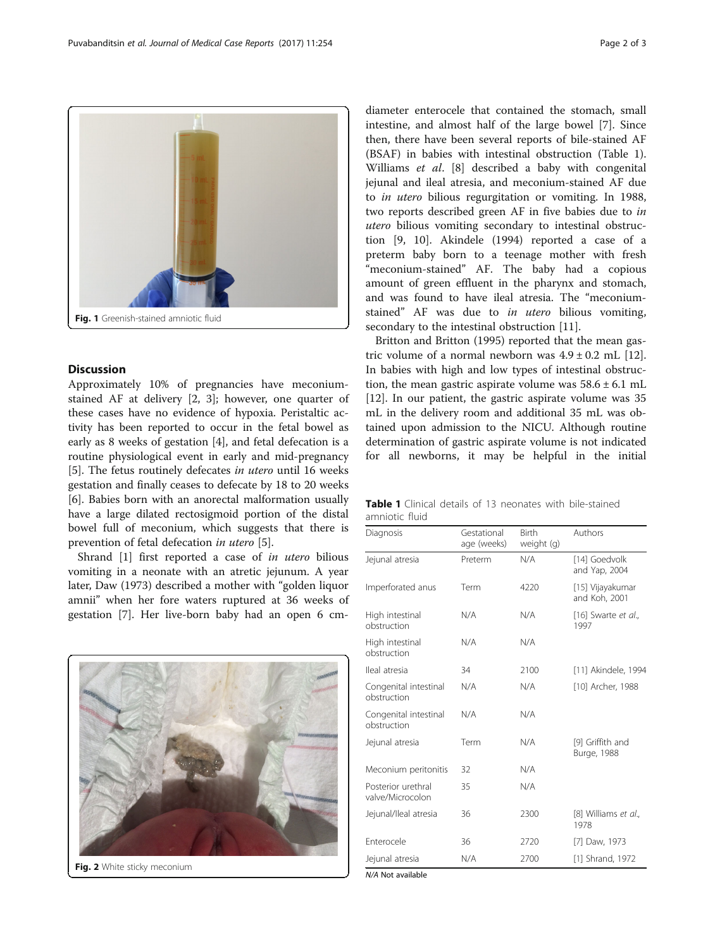<span id="page-1-0"></span>

## **Discussion**

Approximately 10% of pregnancies have meconiumstained AF at delivery [[2, 3\]](#page-2-0); however, one quarter of these cases have no evidence of hypoxia. Peristaltic activity has been reported to occur in the fetal bowel as early as 8 weeks of gestation [[4\]](#page-2-0), and fetal defecation is a routine physiological event in early and mid-pregnancy [[5\]](#page-2-0). The fetus routinely defecates in utero until 16 weeks gestation and finally ceases to defecate by 18 to 20 weeks [[6\]](#page-2-0). Babies born with an anorectal malformation usually have a large dilated rectosigmoid portion of the distal bowel full of meconium, which suggests that there is prevention of fetal defecation in utero [[5\]](#page-2-0).

Shrand [\[1](#page-2-0)] first reported a case of in utero bilious vomiting in a neonate with an atretic jejunum. A year later, Daw (1973) described a mother with "golden liquor amnii" when her fore waters ruptured at 36 weeks of gestation [[7\]](#page-2-0). Her live-born baby had an open 6 cm-



Fig. 2 White sticky meconium

diameter enterocele that contained the stomach, small intestine, and almost half of the large bowel [\[7](#page-2-0)]. Since then, there have been several reports of bile-stained AF (BSAF) in babies with intestinal obstruction (Table 1). Williams et al. [\[8](#page-2-0)] described a baby with congenital jejunal and ileal atresia, and meconium-stained AF due to in utero bilious regurgitation or vomiting. In 1988, two reports described green AF in five babies due to in utero bilious vomiting secondary to intestinal obstruction [[9, 10\]](#page-2-0). Akindele (1994) reported a case of a preterm baby born to a teenage mother with fresh "meconium-stained" AF. The baby had a copious amount of green effluent in the pharynx and stomach, and was found to have ileal atresia. The "meconiumstained" AF was due to *in utero* bilious vomiting, secondary to the intestinal obstruction [[11\]](#page-2-0).

Britton and Britton (1995) reported that the mean gastric volume of a normal newborn was  $4.9 \pm 0.2$  mL [\[12](#page-2-0)]. In babies with high and low types of intestinal obstruction, the mean gastric aspirate volume was  $58.6 \pm 6.1$  mL [[12\]](#page-2-0). In our patient, the gastric aspirate volume was 35 mL in the delivery room and additional 35 mL was obtained upon admission to the NICU. Although routine determination of gastric aspirate volume is not indicated for all newborns, it may be helpful in the initial

| <b>Table 1</b> Clinical details of 13 neonates with bile-stained |  |  |  |
|------------------------------------------------------------------|--|--|--|
| amniotic fluid                                                   |  |  |  |

| Diagnosis                              | Gestational<br>age (weeks) | <b>Birth</b><br>weight (g) | Authors                           |
|----------------------------------------|----------------------------|----------------------------|-----------------------------------|
| Jejunal atresia                        | Preterm                    | N/A                        | [14] Goedvolk<br>and Yap, 2004    |
| Imperforated anus                      | Term                       | 4220                       | [15] Vijayakumar<br>and Koh, 2001 |
| High intestinal<br>obstruction         | N/A                        | N/A                        | [16] Swarte et al.,<br>1997       |
| High intestinal<br>obstruction         | N/A                        | N/A                        |                                   |
| lleal atresia                          | 34                         | 2100                       | [11] Akindele, 1994               |
| Congenital intestinal<br>obstruction   | N/A                        | N/A                        | [10] Archer, 1988                 |
| Congenital intestinal<br>obstruction   | N/A                        | N/A                        |                                   |
| Jejunal atresia                        | Term                       | N/A                        | [9] Griffith and<br>Burge, 1988   |
| Meconium peritonitis                   | 32                         | N/A                        |                                   |
| Posterior urethral<br>valve/Microcolon | 35                         | N/A                        |                                   |
| Jejunal/Ileal atresia                  | 36                         | 2300                       | [8] Williams et al.,<br>1978      |
| Enterocele                             | 36                         | 2720                       | [7] Daw, 1973                     |
| Jejunal atresia                        | N/A                        | 2700                       | [1] Shrand, 1972                  |

N/A Not available